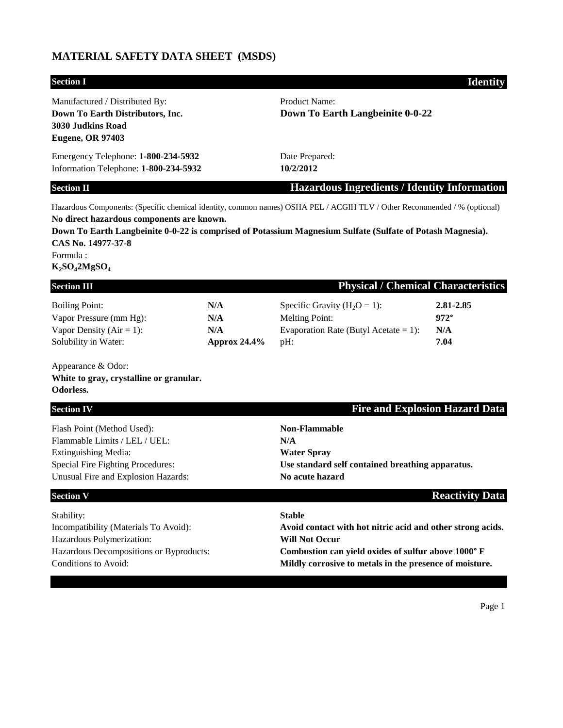## **MATERIAL SAFETY DATA SHEET (MSDS)**

# **Section I Identity** Manufactured / Distributed By: Product Name: **Down To Earth Distributors, Inc. Down To Earth Langbeinite 0-0-22 3030 Judkins Road Eugene, OR 97403** Emergency Telephone: **1-800-234-5932** Date Prepared: Information Telephone: **1-800-234-5932 10/2/2012 Section II Hazardous Ingredients / Identity Information** Hazardous Components: (Specific chemical identity, common names) OSHA PEL / ACGIH TLV / Other Recommended / % (optional) **No direct hazardous components are known. Down To Earth Langbeinite 0-0-22 is comprised of Potassium Magnesium Sulfate (Sulfate of Potash Magnesia). CAS No. 14977-37-8** Formula : **K2SO42MgSO<sup>4</sup> Physical / Chemical Characteristics** Boiling Point: **N/A** Specific Gravity (H<sub>2</sub>O = 1): **2.81-2.85** Vapor Pressure (mm Hg): **N/A** Melting Point: **972°** Vapor Density (Air = 1): **N/A** Evaporation Rate (Butyl Acetate = 1): **N/A** Solubility in Water: **Approx 24.4%** pH: **7.04** Appearance & Odor: **White to gray, crystalline or granular. Odorless. Section IV Fire and Explosion Hazard Data** Flash Point (Method Used): **Non-Flammable** Flammable Limits / LEL / UEL: **N/A** Extinguishing Media: **Water Spray** Special Fire Fighting Procedures: **Use standard self contained breathing apparatus.** Unusual Fire and Explosion Hazards: **No acute hazard Section V Reactivity Data**

Stability: **Stable** Hazardous Polymerization: **Will Not Occur** Hazardous Decompositions or Byproducts: **Combustion can yield oxides of sulfur above 1000° F**

Incompatibility (Materials To Avoid): **Avoid contact with hot nitric acid and other strong acids.**

Conditions to Avoid: **Mildly corrosive to metals in the presence of moisture.**

Page 1